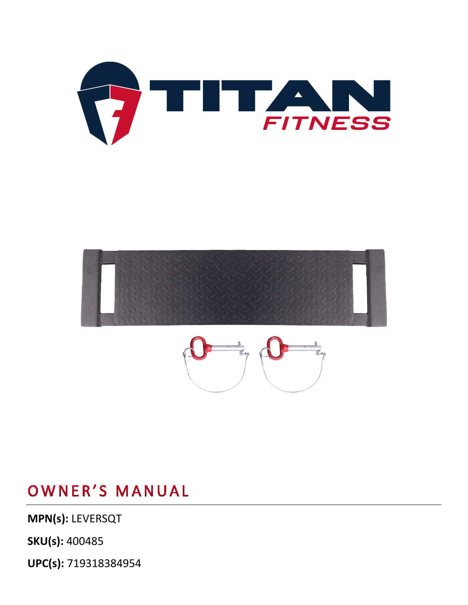**UPC(s):** 719318384954

**SKU(s):** 400485

**MPN(s):** LEVERSQT

## OWNER'S MANUAL





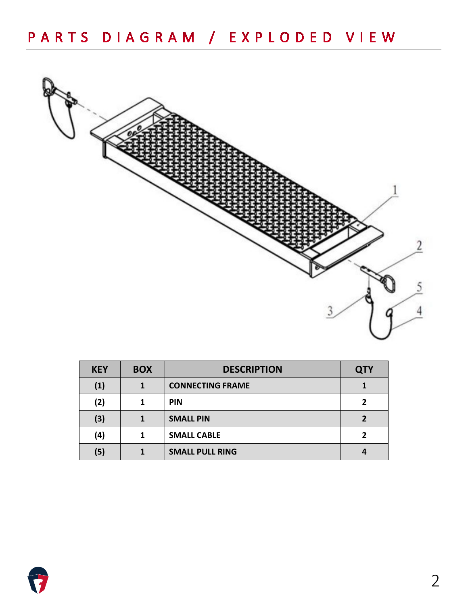

| <b>KEY</b> | <b>BOX</b> | <b>DESCRIPTION</b>      | <b>QTY</b> |
|------------|------------|-------------------------|------------|
| (1)        |            | <b>CONNECTING FRAME</b> |            |
| (2)        |            | <b>PIN</b>              |            |
| (3)        |            | <b>SMALL PIN</b>        |            |
| (4)        |            | <b>SMALL CABLE</b>      |            |
| (5)        |            | <b>SMALL PULL RING</b>  |            |